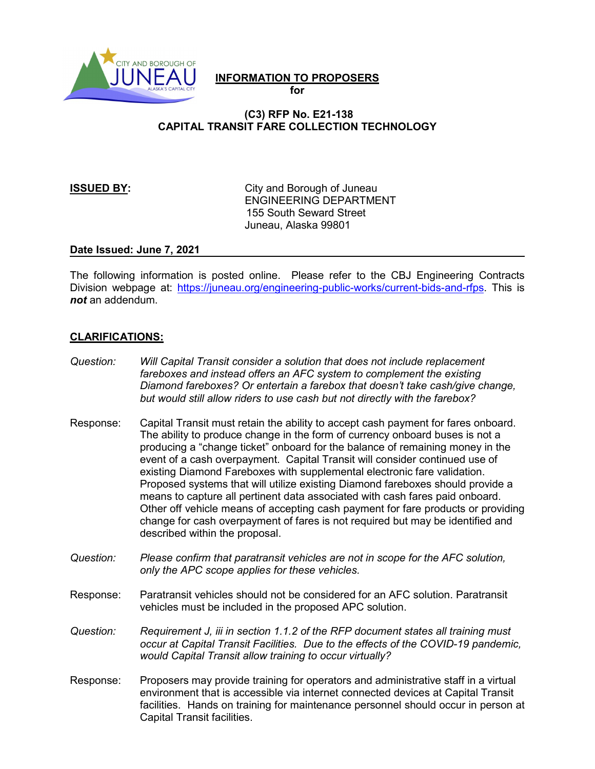

# **INFORMATION TO PROPOSERS**

**for**

## **(C3) RFP No. E21-138 CAPITAL TRANSIT FARE COLLECTION TECHNOLOGY**

**ISSUED BY:** City and Borough of Juneau ENGINEERING DEPARTMENT 155 South Seward Street Juneau, Alaska 99801

### **Date Issued: June 7, 2021**

The following information is posted online. Please refer to the CBJ Engineering Contracts Division webpage at: [https://juneau.org/engineering-public-works/current-bids-and-rfps.](https://juneau.org/engineering-public-works/current-bids-and-rfps) This is *not* an addendum.

## **CLARIFICATIONS:**

- *Question: Will Capital Transit consider a solution that does not include replacement fareboxes and instead offers an AFC system to complement the existing Diamond fareboxes? Or entertain a farebox that doesn't take cash/give change, but would still allow riders to use cash but not directly with the farebox?*
- Response: Capital Transit must retain the ability to accept cash payment for fares onboard. The ability to produce change in the form of currency onboard buses is not a producing a "change ticket" onboard for the balance of remaining money in the event of a cash overpayment. Capital Transit will consider continued use of existing Diamond Fareboxes with supplemental electronic fare validation. Proposed systems that will utilize existing Diamond fareboxes should provide a means to capture all pertinent data associated with cash fares paid onboard. Other off vehicle means of accepting cash payment for fare products or providing change for cash overpayment of fares is not required but may be identified and described within the proposal.
- *Question: Please confirm that paratransit vehicles are not in scope for the AFC solution, only the APC scope applies for these vehicles.*
- Response: Paratransit vehicles should not be considered for an AFC solution. Paratransit vehicles must be included in the proposed APC solution.
- *Question: Requirement J, iii in section 1.1.2 of the RFP document states all training must occur at Capital Transit Facilities. Due to the effects of the COVID-19 pandemic, would Capital Transit allow training to occur virtually?*
- Response: Proposers may provide training for operators and administrative staff in a virtual environment that is accessible via internet connected devices at Capital Transit facilities. Hands on training for maintenance personnel should occur in person at Capital Transit facilities.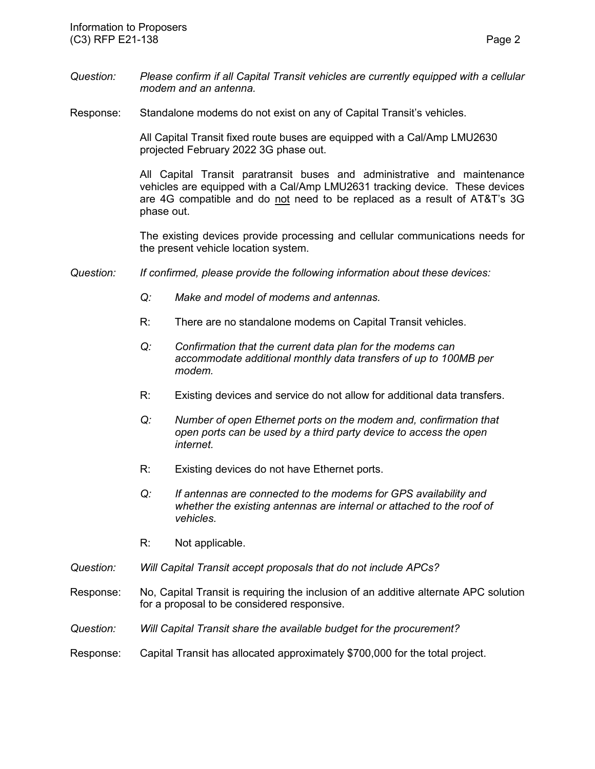- *Question: Please confirm if all Capital Transit vehicles are currently equipped with a cellular modem and an antenna.*
- Response: Standalone modems do not exist on any of Capital Transit's vehicles.

All Capital Transit fixed route buses are equipped with a Cal/Amp LMU2630 projected February 2022 3G phase out.

All Capital Transit paratransit buses and administrative and maintenance vehicles are equipped with a Cal/Amp LMU2631 tracking device. These devices are 4G compatible and do not need to be replaced as a result of AT&T's 3G phase out.

The existing devices provide processing and cellular communications needs for the present vehicle location system.

- *Question: If confirmed, please provide the following information about these devices:*
	- *Q: Make and model of modems and antennas.*
	- R: There are no standalone modems on Capital Transit vehicles.
	- *Q: Confirmation that the current data plan for the modems can accommodate additional monthly data transfers of up to 100MB per modem.*
	- R: Existing devices and service do not allow for additional data transfers.
	- *Q: Number of open Ethernet ports on the modem and, confirmation that open ports can be used by a third party device to access the open internet.*
	- R: Existing devices do not have Ethernet ports.
	- *Q: If antennas are connected to the modems for GPS availability and whether the existing antennas are internal or attached to the roof of vehicles.*
	- R: Not applicable.
- *Question: Will Capital Transit accept proposals that do not include APCs?*
- Response: No, Capital Transit is requiring the inclusion of an additive alternate APC solution for a proposal to be considered responsive.
- *Question: Will Capital Transit share the available budget for the procurement?*

#### Response: Capital Transit has allocated approximately \$700,000 for the total project.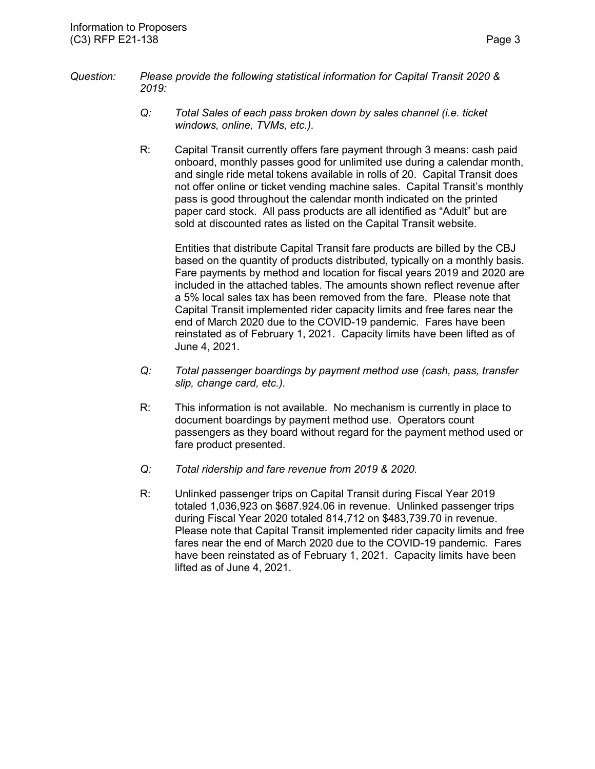- *Question: Please provide the following statistical information for Capital Transit 2020 & 2019:*
	- *Q: Total Sales of each pass broken down by sales channel (i.e. ticket windows, online, TVMs, etc.).*
	- R: Capital Transit currently offers fare payment through 3 means: cash paid onboard, monthly passes good for unlimited use during a calendar month, and single ride metal tokens available in rolls of 20. Capital Transit does not offer online or ticket vending machine sales. Capital Transit's monthly pass is good throughout the calendar month indicated on the printed paper card stock. All pass products are all identified as "Adult" but are sold at discounted rates as listed on the Capital Transit website.

Entities that distribute Capital Transit fare products are billed by the CBJ based on the quantity of products distributed, typically on a monthly basis. Fare payments by method and location for fiscal years 2019 and 2020 are included in the attached tables. The amounts shown reflect revenue after a 5% local sales tax has been removed from the fare. Please note that Capital Transit implemented rider capacity limits and free fares near the end of March 2020 due to the COVID-19 pandemic. Fares have been reinstated as of February 1, 2021. Capacity limits have been lifted as of June 4, 2021.

- *Q: Total passenger boardings by payment method use (cash, pass, transfer slip, change card, etc.).*
- R: This information is not available. No mechanism is currently in place to document boardings by payment method use. Operators count passengers as they board without regard for the payment method used or fare product presented.
- *Q: Total ridership and fare revenue from 2019 & 2020.*
- R: Unlinked passenger trips on Capital Transit during Fiscal Year 2019 totaled 1,036,923 on \$687.924.06 in revenue. Unlinked passenger trips during Fiscal Year 2020 totaled 814,712 on \$483,739.70 in revenue. Please note that Capital Transit implemented rider capacity limits and free fares near the end of March 2020 due to the COVID-19 pandemic. Fares have been reinstated as of February 1, 2021. Capacity limits have been lifted as of June 4, 2021.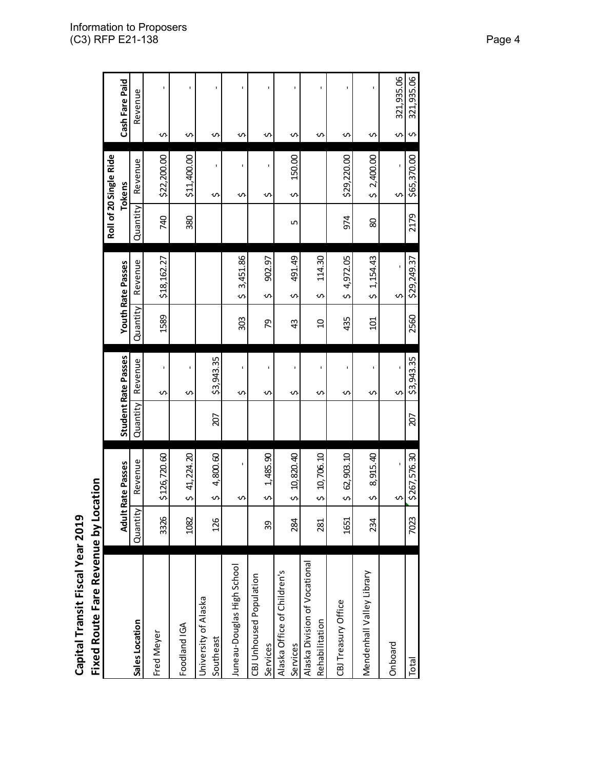|                                                 |          |                            |          |                            |                |                            |          | Roll of 20 Single Ride |                     |
|-------------------------------------------------|----------|----------------------------|----------|----------------------------|----------------|----------------------------|----------|------------------------|---------------------|
|                                                 |          | <b>Adult Rate Passes</b>   |          | <b>Student Rate Passes</b> |                | <b>Youth Rate Passes</b>   |          | <b>Tokens</b>          | Cash Fare Paid      |
| Sales Location                                  | Quantity | Revenue                    | Quantity | Revenue                    | Quantity       | Revenue                    | Quantity | Revenue                | Revenue             |
| Fred Meyer                                      | 3326     | \$126,720.60               |          | ï<br>S                     | 1589           | \$18,162.27                | 740      | \$22,200.00            | ı<br>s              |
| Foodland IGA                                    | 1082     | 41,224.20<br>s             |          | f.<br>S                    |                |                            | 380      | \$11,400.00            | $\blacksquare$<br>S |
| University of Alaska<br>Southeast               | 126      | 4,800.60<br>Ş              | 207      | \$3,943.35                 |                |                            |          | ı<br>Ş                 | ï<br>S              |
| Juneau-Douglas High School                      |          | ı<br>᠊᠕                    |          | ï<br>S                     | 303            | 3,451.86<br>$\mathfrak o$  |          | ï<br>᠊ᡃ                | ï<br>Ş              |
| CBJ Unhoused Population<br>Services             | 39       | 1,485.90<br>S              |          | f,<br>S                    | 56             | 902.97<br>S                |          | ᠊ᠬ                     | ï<br>Ş              |
| Alaska Office of Children's<br>Services         | 284      | 10,820.40<br>s             |          | ı<br>S                     | 43             | 491.49<br>S                | Б        | 150.00<br>Ş            | $\blacksquare$<br>Ş |
| Alaska Division of Vocational<br>Rehabilitation | 281      | 10,706.10<br>s             |          | ı<br>S                     | $\overline{a}$ | 114.30<br>S                |          |                        | ı<br>S              |
| CBJ Treasury Office                             | 1651     | 62,903.10<br>$\mathfrak o$ |          | S                          | 435            | 4,972.05<br>$\mathfrak{o}$ | 974      | \$29,220.00            | $\blacksquare$<br>S |
| Mendenhall Valley Library                       | 234      | 8,915.40<br>S              |          | f,<br>S                    | $\Xi$          | 1, 154.43<br>$\mathfrak o$ | 80       | \$2,400.00             | f,<br>s             |
| Onboard                                         |          | ı<br>s                     |          | Ş                          |                | $\mathbf{I}$<br>S          |          | ı<br>s                 | 321,935.06<br>Ş     |
| Total                                           | 7023     | \$267,576.30               | 207      | \$3,943.35                 | 2560           | \$29,249.37                | 2179     | \$65,370.00            | 321,935.06<br>S     |
|                                                 |          |                            |          |                            |                |                            |          |                        |                     |

Fixed Route Fare Revenue by Location **Fixed Route Fare Revenue by Location** Capital Transit Fiscal Year 2019 **Capital Transit Fiscal Year 2019**